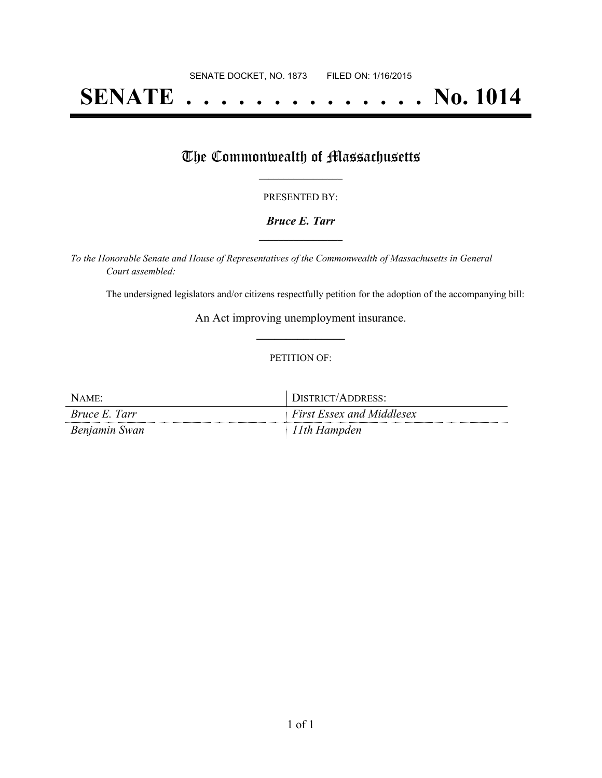# **SENATE . . . . . . . . . . . . . . No. 1014**

## The Commonwealth of Massachusetts

#### PRESENTED BY:

#### *Bruce E. Tarr* **\_\_\_\_\_\_\_\_\_\_\_\_\_\_\_\_\_**

*To the Honorable Senate and House of Representatives of the Commonwealth of Massachusetts in General Court assembled:*

The undersigned legislators and/or citizens respectfully petition for the adoption of the accompanying bill:

An Act improving unemployment insurance. **\_\_\_\_\_\_\_\_\_\_\_\_\_\_\_**

#### PETITION OF:

| NAME:         | DISTRICT/ADDRESS:                |
|---------------|----------------------------------|
| Bruce E. Tarr | <b>First Essex and Middlesex</b> |
| Benjamin Swan | l Ith Hampden                    |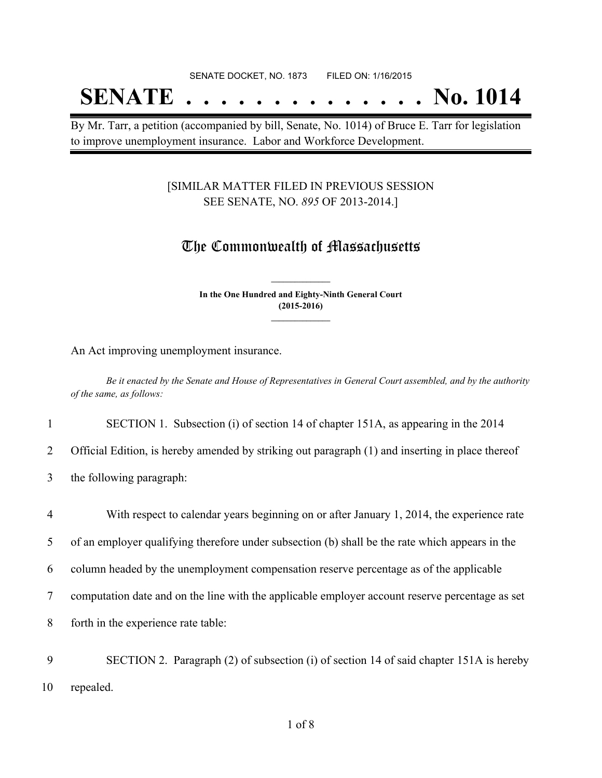## SENATE DOCKET, NO. 1873 FILED ON: 1/16/2015

## **SENATE . . . . . . . . . . . . . . No. 1014**

By Mr. Tarr, a petition (accompanied by bill, Senate, No. 1014) of Bruce E. Tarr for legislation to improve unemployment insurance. Labor and Workforce Development.

#### [SIMILAR MATTER FILED IN PREVIOUS SESSION SEE SENATE, NO. *895* OF 2013-2014.]

### The Commonwealth of Massachusetts

**In the One Hundred and Eighty-Ninth General Court (2015-2016) \_\_\_\_\_\_\_\_\_\_\_\_\_\_\_**

**\_\_\_\_\_\_\_\_\_\_\_\_\_\_\_**

An Act improving unemployment insurance.

Be it enacted by the Senate and House of Representatives in General Court assembled, and by the authority *of the same, as follows:*

1 SECTION 1. Subsection (i) of section 14 of chapter 151A, as appearing in the 2014

2 Official Edition, is hereby amended by striking out paragraph (1) and inserting in place thereof

3 the following paragraph:

 With respect to calendar years beginning on or after January 1, 2014, the experience rate of an employer qualifying therefore under subsection (b) shall be the rate which appears in the column headed by the unemployment compensation reserve percentage as of the applicable computation date and on the line with the applicable employer account reserve percentage as set forth in the experience rate table: SECTION 2. Paragraph (2) of subsection (i) of section 14 of said chapter 151A is hereby

10 repealed.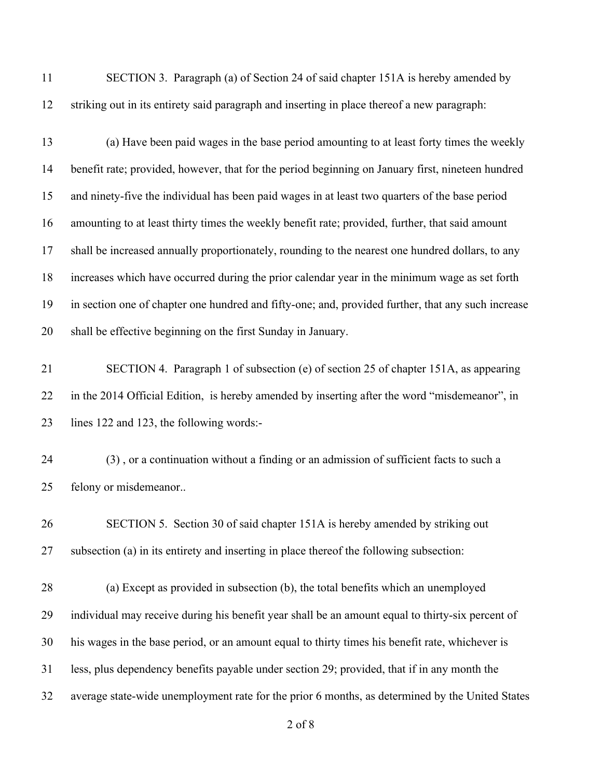SECTION 3. Paragraph (a) of Section 24 of said chapter 151A is hereby amended by striking out in its entirety said paragraph and inserting in place thereof a new paragraph:

 (a) Have been paid wages in the base period amounting to at least forty times the weekly benefit rate; provided, however, that for the period beginning on January first, nineteen hundred and ninety-five the individual has been paid wages in at least two quarters of the base period amounting to at least thirty times the weekly benefit rate; provided, further, that said amount shall be increased annually proportionately, rounding to the nearest one hundred dollars, to any increases which have occurred during the prior calendar year in the minimum wage as set forth in section one of chapter one hundred and fifty-one; and, provided further, that any such increase shall be effective beginning on the first Sunday in January.

 SECTION 4. Paragraph 1 of subsection (e) of section 25 of chapter 151A, as appearing in the 2014 Official Edition, is hereby amended by inserting after the word "misdemeanor", in lines 122 and 123, the following words:-

 (3) , or a continuation without a finding or an admission of sufficient facts to such a felony or misdemeanor..

 SECTION 5. Section 30 of said chapter 151A is hereby amended by striking out subsection (a) in its entirety and inserting in place thereof the following subsection:

 (a) Except as provided in subsection (b), the total benefits which an unemployed individual may receive during his benefit year shall be an amount equal to thirty-six percent of his wages in the base period, or an amount equal to thirty times his benefit rate, whichever is less, plus dependency benefits payable under section 29; provided, that if in any month the average state-wide unemployment rate for the prior 6 months, as determined by the United States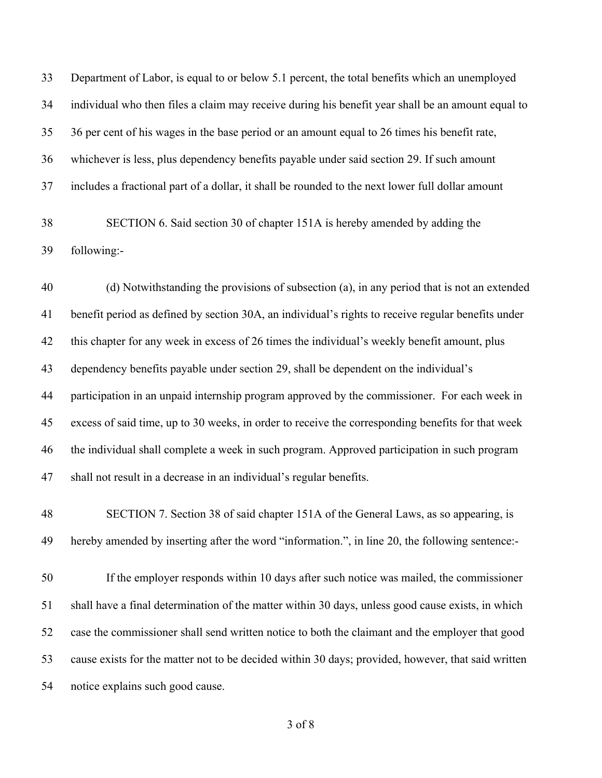Department of Labor, is equal to or below 5.1 percent, the total benefits which an unemployed individual who then files a claim may receive during his benefit year shall be an amount equal to 36 per cent of his wages in the base period or an amount equal to 26 times his benefit rate, whichever is less, plus dependency benefits payable under said section 29. If such amount includes a fractional part of a dollar, it shall be rounded to the next lower full dollar amount

 SECTION 6. Said section 30 of chapter 151A is hereby amended by adding the following:-

 (d) Notwithstanding the provisions of subsection (a), in any period that is not an extended benefit period as defined by section 30A, an individual's rights to receive regular benefits under this chapter for any week in excess of 26 times the individual's weekly benefit amount, plus dependency benefits payable under section 29, shall be dependent on the individual's participation in an unpaid internship program approved by the commissioner. For each week in excess of said time, up to 30 weeks, in order to receive the corresponding benefits for that week the individual shall complete a week in such program. Approved participation in such program shall not result in a decrease in an individual's regular benefits.

 SECTION 7. Section 38 of said chapter 151A of the General Laws, as so appearing, is hereby amended by inserting after the word "information.", in line 20, the following sentence:-

 If the employer responds within 10 days after such notice was mailed, the commissioner shall have a final determination of the matter within 30 days, unless good cause exists, in which case the commissioner shall send written notice to both the claimant and the employer that good cause exists for the matter not to be decided within 30 days; provided, however, that said written notice explains such good cause.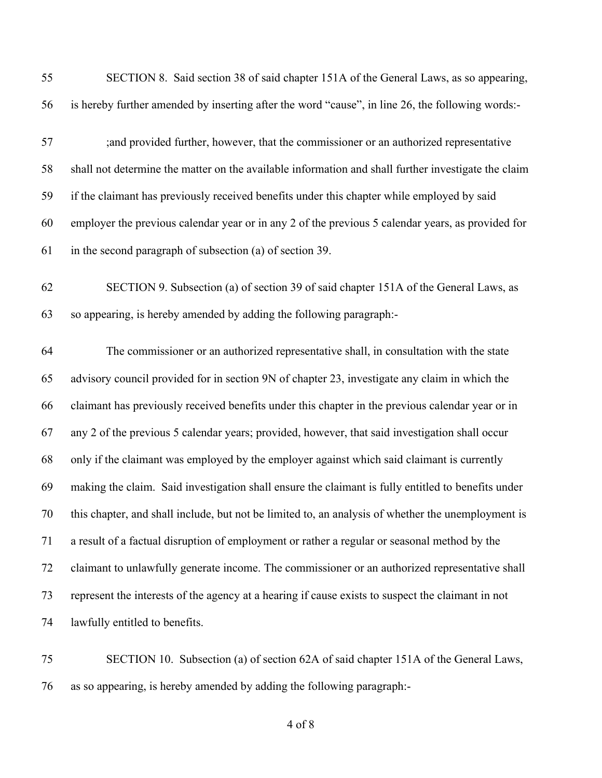| 55 | SECTION 8. Said section 38 of said chapter 151A of the General Laws, as so appearing,               |
|----|-----------------------------------------------------------------------------------------------------|
| 56 | is hereby further amended by inserting after the word "cause", in line 26, the following words:-    |
| 57 | ; and provided further, however, that the commissioner or an authorized representative              |
| 58 | shall not determine the matter on the available information and shall further investigate the claim |
| 59 | if the claimant has previously received benefits under this chapter while employed by said          |
| 60 | employer the previous calendar year or in any 2 of the previous 5 calendar years, as provided for   |
| 61 | in the second paragraph of subsection (a) of section 39.                                            |
| 62 | SECTION 9. Subsection (a) of section 39 of said chapter 151A of the General Laws, as                |
| 63 | so appearing, is hereby amended by adding the following paragraph:-                                 |
| 64 | The commissioner or an authorized representative shall, in consultation with the state              |
| 65 | advisory council provided for in section 9N of chapter 23, investigate any claim in which the       |
| 66 | claimant has previously received benefits under this chapter in the previous calendar year or in    |
| 67 | any 2 of the previous 5 calendar years; provided, however, that said investigation shall occur      |
| 68 | only if the claimant was employed by the employer against which said claimant is currently          |
| 69 | making the claim. Said investigation shall ensure the claimant is fully entitled to benefits under  |
| 70 | this chapter, and shall include, but not be limited to, an analysis of whether the unemployment is  |
| 71 | a result of a factual disruption of employment or rather a regular or seasonal method by the        |
| 72 | claimant to unlawfully generate income. The commissioner or an authorized representative shall      |
| 73 | represent the interests of the agency at a hearing if cause exists to suspect the claimant in not   |
| 74 | lawfully entitled to benefits.                                                                      |
| 75 | SECTION 10. Subsection (a) of section 62A of said chapter 151A of the General Laws,                 |
| 76 | as so appearing, is hereby amended by adding the following paragraph:-                              |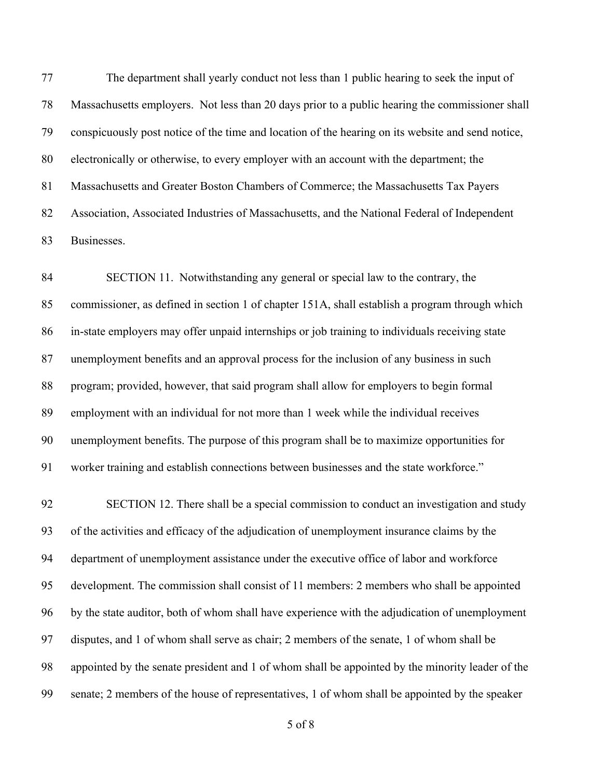The department shall yearly conduct not less than 1 public hearing to seek the input of Massachusetts employers. Not less than 20 days prior to a public hearing the commissioner shall conspicuously post notice of the time and location of the hearing on its website and send notice, electronically or otherwise, to every employer with an account with the department; the Massachusetts and Greater Boston Chambers of Commerce; the Massachusetts Tax Payers Association, Associated Industries of Massachusetts, and the National Federal of Independent Businesses.

 SECTION 11. Notwithstanding any general or special law to the contrary, the commissioner, as defined in section 1 of chapter 151A, shall establish a program through which in-state employers may offer unpaid internships or job training to individuals receiving state unemployment benefits and an approval process for the inclusion of any business in such program; provided, however, that said program shall allow for employers to begin formal employment with an individual for not more than 1 week while the individual receives unemployment benefits. The purpose of this program shall be to maximize opportunities for worker training and establish connections between businesses and the state workforce."

 SECTION 12. There shall be a special commission to conduct an investigation and study of the activities and efficacy of the adjudication of unemployment insurance claims by the department of unemployment assistance under the executive office of labor and workforce development. The commission shall consist of 11 members: 2 members who shall be appointed by the state auditor, both of whom shall have experience with the adjudication of unemployment disputes, and 1 of whom shall serve as chair; 2 members of the senate, 1 of whom shall be appointed by the senate president and 1 of whom shall be appointed by the minority leader of the senate; 2 members of the house of representatives, 1 of whom shall be appointed by the speaker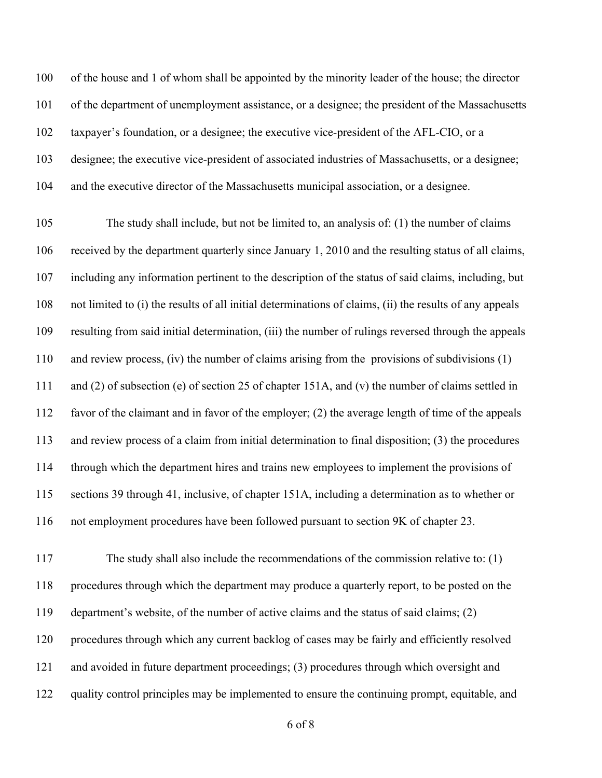of the house and 1 of whom shall be appointed by the minority leader of the house; the director of the department of unemployment assistance, or a designee; the president of the Massachusetts taxpayer's foundation, or a designee; the executive vice-president of the AFL-CIO, or a designee; the executive vice-president of associated industries of Massachusetts, or a designee; and the executive director of the Massachusetts municipal association, or a designee.

 The study shall include, but not be limited to, an analysis of: (1) the number of claims received by the department quarterly since January 1, 2010 and the resulting status of all claims, including any information pertinent to the description of the status of said claims, including, but not limited to (i) the results of all initial determinations of claims, (ii) the results of any appeals resulting from said initial determination, (iii) the number of rulings reversed through the appeals and review process, (iv) the number of claims arising from the provisions of subdivisions (1) and (2) of subsection (e) of section 25 of chapter 151A, and (v) the number of claims settled in favor of the claimant and in favor of the employer; (2) the average length of time of the appeals and review process of a claim from initial determination to final disposition; (3) the procedures through which the department hires and trains new employees to implement the provisions of sections 39 through 41, inclusive, of chapter 151A, including a determination as to whether or not employment procedures have been followed pursuant to section 9K of chapter 23.

 The study shall also include the recommendations of the commission relative to: (1) procedures through which the department may produce a quarterly report, to be posted on the department's website, of the number of active claims and the status of said claims; (2) procedures through which any current backlog of cases may be fairly and efficiently resolved and avoided in future department proceedings; (3) procedures through which oversight and 122 quality control principles may be implemented to ensure the continuing prompt, equitable, and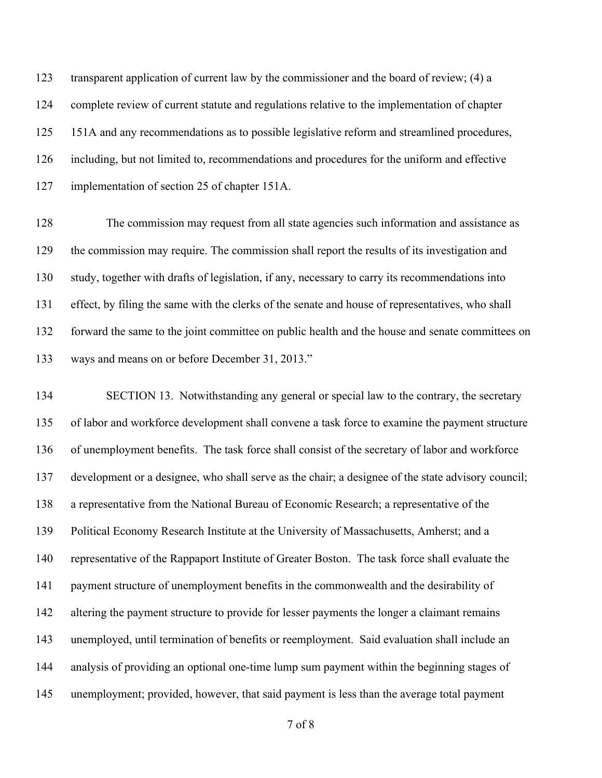transparent application of current law by the commissioner and the board of review; (4) a complete review of current statute and regulations relative to the implementation of chapter 125 151A and any recommendations as to possible legislative reform and streamlined procedures, including, but not limited to, recommendations and procedures for the uniform and effective implementation of section 25 of chapter 151A.

 The commission may request from all state agencies such information and assistance as the commission may require. The commission shall report the results of its investigation and study, together with drafts of legislation, if any, necessary to carry its recommendations into effect, by filing the same with the clerks of the senate and house of representatives, who shall forward the same to the joint committee on public health and the house and senate committees on ways and means on or before December 31, 2013."

 SECTION 13. Notwithstanding any general or special law to the contrary, the secretary of labor and workforce development shall convene a task force to examine the payment structure of unemployment benefits. The task force shall consist of the secretary of labor and workforce development or a designee, who shall serve as the chair; a designee of the state advisory council; a representative from the National Bureau of Economic Research; a representative of the Political Economy Research Institute at the University of Massachusetts, Amherst; and a representative of the Rappaport Institute of Greater Boston. The task force shall evaluate the payment structure of unemployment benefits in the commonwealth and the desirability of altering the payment structure to provide for lesser payments the longer a claimant remains unemployed, until termination of benefits or reemployment. Said evaluation shall include an analysis of providing an optional one-time lump sum payment within the beginning stages of unemployment; provided, however, that said payment is less than the average total payment